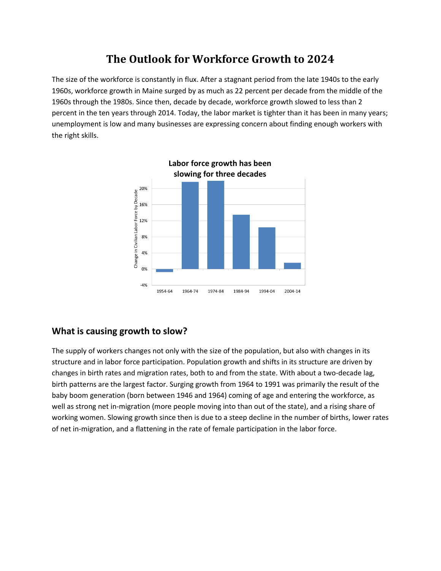## **The Outlook for Workforce Growth to 2024**

The size of the workforce is constantly in flux. After a stagnant period from the late 1940s to the early 1960s, workforce growth in Maine surged by as much as 22 percent per decade from the middle of the 1960s through the 1980s. Since then, decade by decade, workforce growth slowed to less than 2 percent in the ten years through 2014. Today, the labor market is tighter than it has been in many years; unemployment is low and many businesses are expressing concern about finding enough workers with the right skills.



## **What is causing growth to slow?**

The supply of workers changes not only with the size of the population, but also with changes in its structure and in labor force participation. Population growth and shifts in its structure are driven by changes in birth rates and migration rates, both to and from the state. With about a two-decade lag, birth patterns are the largest factor. Surging growth from 1964 to 1991 was primarily the result of the baby boom generation (born between 1946 and 1964) coming of age and entering the workforce, as well as strong net in-migration (more people moving into than out of the state), and a rising share of working women. Slowing growth since then is due to a steep decline in the number of births, lower rates of net in-migration, and a flattening in the rate of female participation in the labor force.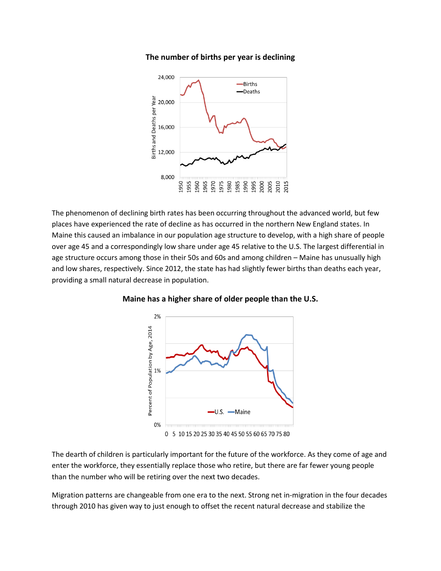**The number of births per year is declining**



The phenomenon of declining birth rates has been occurring throughout the advanced world, but few places have experienced the rate of decline as has occurred in the northern New England states. In Maine this caused an imbalance in our population age structure to develop, with a high share of people over age 45 and a correspondingly low share under age 45 relative to the U.S. The largest differential in age structure occurs among those in their 50s and 60s and among children – Maine has unusually high and low shares, respectively. Since 2012, the state has had slightly fewer births than deaths each year, providing a small natural decrease in population.



**Maine has a higher share of older people than the U.S.**

The dearth of children is particularly important for the future of the workforce. As they come of age and enter the workforce, they essentially replace those who retire, but there are far fewer young people than the number who will be retiring over the next two decades.

Migration patterns are changeable from one era to the next. Strong net in-migration in the four decades through 2010 has given way to just enough to offset the recent natural decrease and stabilize the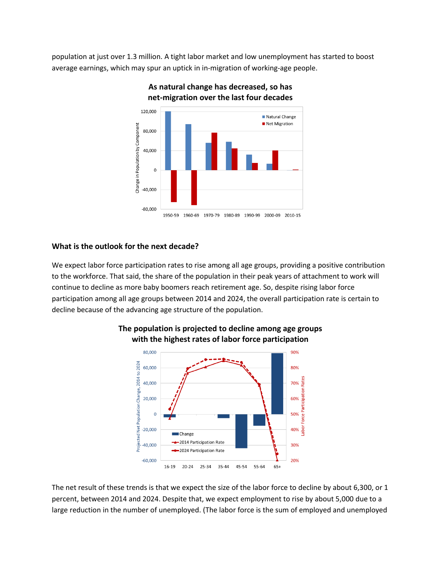population at just over 1.3 million. A tight labor market and low unemployment has started to boost average earnings, which may spur an uptick in in-migration of working-age people.



**As natural change has decreased, so has net-migration over the last four decades**

## **What is the outlook for the next decade?**

We expect labor force participation rates to rise among all age groups, providing a positive contribution to the workforce. That said, the share of the population in their peak years of attachment to work will continue to decline as more baby boomers reach retirement age. So, despite rising labor force participation among all age groups between 2014 and 2024, the overall participation rate is certain to decline because of the advancing age structure of the population.



## **The population is projected to decline among age groups with the highest rates of labor force participation**

The net result of these trends is that we expect the size of the labor force to decline by about 6,300, or 1 percent, between 2014 and 2024. Despite that, we expect employment to rise by about 5,000 due to a large reduction in the number of unemployed. (The labor force is the sum of employed and unemployed